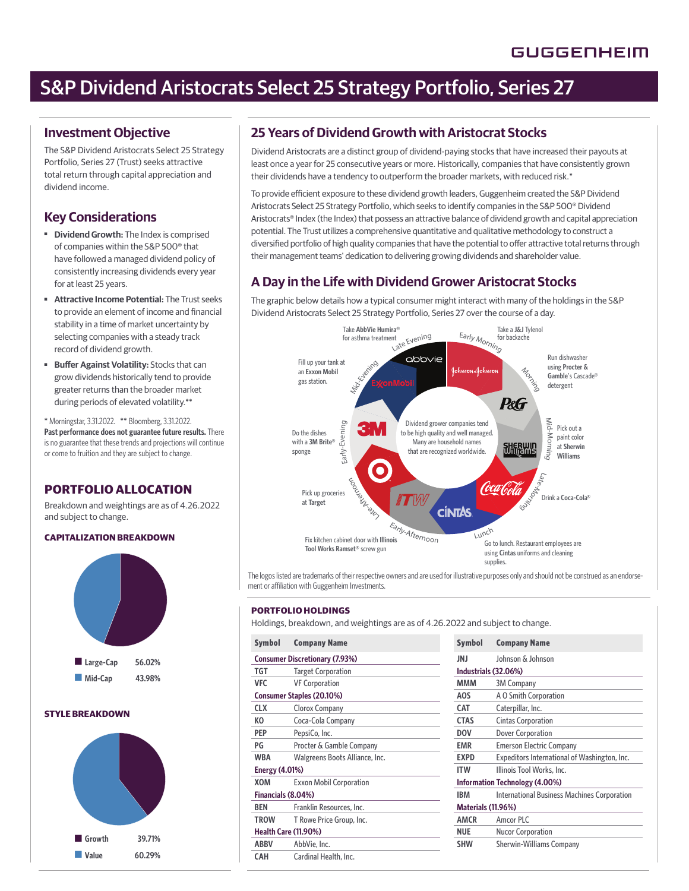# S&P Dividend Aristocrats Select 25 Strategy Portfolio, Series 27

### **Investment Objective**

The S&P Dividend Aristocrats Select 25 Strategy Portfolio, Series 27 (Trust) seeks attractive total return through capital appreciation and dividend income.

# **Key Considerations**

- **Dividend Growth:** The Index is comprised of companies within the S&P 500® that have followed a managed dividend policy of consistently increasing dividends every year for at least 25 years.
- ■ **Attractive Income Potential:** The Trust seeks to provide an element of income and financial stability in a time of market uncertainty by selecting companies with a steady track record of dividend growth.
- **Buffer Against Volatility: Stocks that can** grow dividends historically tend to provide greater returns than the broader market during periods of elevated volatility.\*\*

\* Morningstar, 3.31.2022. \*\* Bloomberg, 3.31.2022. **Past performance does not guarantee future results.** There is no guarantee that these trends and projections will continue or come to fruition and they are subject to change.

### **PORTFOLIO ALLOCATION**

Breakdown and weightings are as of 4.26.2022 and subject to change.

### **CAPITALIZATION BREAKDOWN**



### **STYLE BREAKDOWN**



# **25 Years of Dividend Growth with Aristocrat Stocks**

Dividend Aristocrats are a distinct group of dividend-paying stocks that have increased their payouts at least once a year for 25 consecutive years or more. Historically, companies that have consistently grown their dividends have a tendency to outperform the broader markets, with reduced risk.\*

To provide efficient exposure to these dividend growth leaders, Guggenheim created the S&P Dividend Aristocrats Select 25 Strategy Portfolio, which seeks to identify companies in the S&P 500® Dividend Aristocrats® Index (the Index) that possess an attractive balance of dividend growth and capital appreciation potential. The Trust utilizes a comprehensive quantitative and qualitative methodology to construct a diversified portfolio of high quality companies that have the potential to offer attractive total returns through their management teams' dedication to delivering growing dividends and shareholder value.

# **A Day in the Life with Dividend Grower Aristocrat Stocks**

The graphic below details how a typical consumer might interact with many of the holdings in the S&P Dividend Aristocrats Select 25 Strategy Portfolio, Series 27 over the course of a day.



The logos listed are trademarks of their respective owners and are used for illustrative purposes only and should not be construed as an endorsement or affiliation with Guggenheim Investments.

#### **PORTFOLIO HOLDINGS**

Holdings, breakdown, and weightings are as of 4.26.2022 and subject to change.

| <b>Symbol</b>                          | <b>Company Name</b>                   | <b>Symbol</b>             | <b>Company Name</b>                 |
|----------------------------------------|---------------------------------------|---------------------------|-------------------------------------|
|                                        | <b>Consumer Discretionary (7.93%)</b> | JNJ                       | Johnson & Johnso                    |
| TGT                                    | <b>Target Corporation</b>             |                           | Industrials (32.06%)                |
| <b>VFC</b>                             | <b>VF Corporation</b>                 | MMM                       | <b>3M Company</b>                   |
| Consumer Staples (20.10%)              |                                       | <b>AOS</b>                | A O Smith Corpor                    |
| <b>CLX</b>                             | Clorox Company                        | CAT                       | Caterpillar, Inc.                   |
| КO                                     | Coca-Cola Company                     | <b>CTAS</b>               | Cintas Corporatio                   |
| PEP                                    | PepsiCo, Inc.                         | <b>DOV</b>                | Dover Corporation                   |
| PG                                     | Procter & Gamble Company              | <b>EMR</b>                | <b>Emerson Electric (</b>           |
| <b>WBA</b>                             | Walgreens Boots Alliance, Inc.        | <b>EXPD</b>               | Expeditors Interna                  |
| <b>Energy (4.01%)</b>                  |                                       | <b>ITW</b>                | <b>Illinois Tool Work:</b>          |
| XOM                                    | <b>Exxon Mobil Corporation</b>        |                           | <b>Information Technology (4.0)</b> |
|                                        | Financials (8.04%)                    |                           | <b>International Busi</b>           |
| <b>BEN</b><br>Franklin Resources, Inc. |                                       | <b>Materials (11.96%)</b> |                                     |
| <b>TROW</b>                            | T Rowe Price Group, Inc.              | <b>AMCR</b>               | Amcor PLC                           |
| <b>Health Care (11.90%)</b>            |                                       | <b>NUE</b>                | <b>Nucor Corporation</b>            |
| <b>ABBV</b>                            | AbbVie, Inc.                          | <b>SHW</b>                | Sherwin-Williams                    |
| <b>CAH</b>                             | Cardinal Health, Inc.                 |                           |                                     |

| Johnson & Johnson<br>Industrials (32.06%)<br><b>3M Company</b><br>A O Smith Corporation |  |  |
|-----------------------------------------------------------------------------------------|--|--|
|                                                                                         |  |  |
|                                                                                         |  |  |
|                                                                                         |  |  |
|                                                                                         |  |  |
| Caterpillar, Inc.                                                                       |  |  |
| <b>Cintas Corporation</b>                                                               |  |  |
| Dover Corporation                                                                       |  |  |
| <b>Emerson Electric Company</b>                                                         |  |  |
| Expeditors International of Washington, Inc.                                            |  |  |
| Illinois Tool Works, Inc.                                                               |  |  |
| Information Technology (4.00%)                                                          |  |  |
| <b>International Business Machines Corporation</b>                                      |  |  |
| <b>Materials (11.96%)</b>                                                               |  |  |
| Amcor PLC                                                                               |  |  |
| <b>Nucor Corporation</b>                                                                |  |  |
| <b>Sherwin-Williams Company</b>                                                         |  |  |
|                                                                                         |  |  |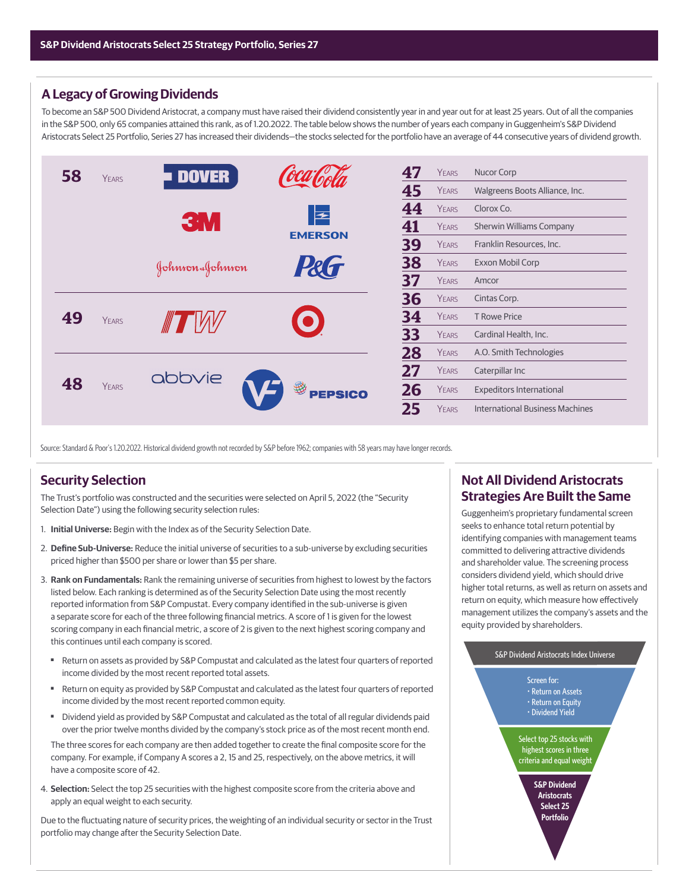### **A Legacy of Growing Dividends**

To become an S&P 500 Dividend Aristocrat, a company must have raised their dividend consistently year in and year out for at least 25 years. Out of all the companies in the S&P 500, only 65 companies attained this rank, as of 1.20.2022. The table below shows the number of years each company in Guggenheim's S&P Dividend Aristocrats Select 25 Portfolio, Series 27 has increased their dividends—the stocks selected for the portfolio have an average of 44 consecutive years of dividend growth.



Source: Standard & Poor's 1.20.2022. Historical dividend growth not recorded by S&P before 1962; companies with 58 years may have longer records.

### **Security Selection**

The Trust's portfolio was constructed and the securities were selected on April 5, 2022 (the "Security Selection Date") using the following security selection rules:

- 1. **Initial Universe:** Begin with the Index as of the Security Selection Date.
- 2. **Define Sub-Universe:** Reduce the initial universe of securities to a sub-universe by excluding securities priced higher than \$500 per share or lower than \$5 per share.
- 3. **Rank on Fundamentals:** Rank the remaining universe of securities from highest to lowest by the factors listed below. Each ranking is determined as of the Security Selection Date using the most recently reported information from S&P Compustat. Every company identified in the sub-universe is given a separate score for each of the three following financial metrics. A score of 1 is given for the lowest scoring company in each financial metric, a score of 2 is given to the next highest scoring company and this continues until each company is scored.
	- Return on assets as provided by S&P Compustat and calculated as the latest four quarters of reported income divided by the most recent reported total assets.
	- Return on equity as provided by S&P Compustat and calculated as the latest four quarters of reported income divided by the most recent reported common equity.
	- Dividend yield as provided by S&P Compustat and calculated as the total of all regular dividends paid over the prior twelve months divided by the company's stock price as of the most recent month end.

The three scores for each company are then added together to create the final composite score for the company. For example, if Company A scores a 2, 15 and 25, respectively, on the above metrics, it will have a composite score of 42.

4. **Selection:** Select the top 25 securities with the highest composite score from the criteria above and apply an equal weight to each security.

Due to the fluctuating nature of security prices, the weighting of an individual security or sector in the Trust portfolio may change after the Security Selection Date.

# **Not All Dividend Aristocrats Strategies Are Built the Same**

Guggenheim's proprietary fundamental screen seeks to enhance total return potential by identifying companies with management teams committed to delivering attractive dividends and shareholder value. The screening process considers dividend yield, which should drive higher total returns, as well as return on assets and return on equity, which measure how effectively management utilizes the company's assets and the equity provided by shareholders.

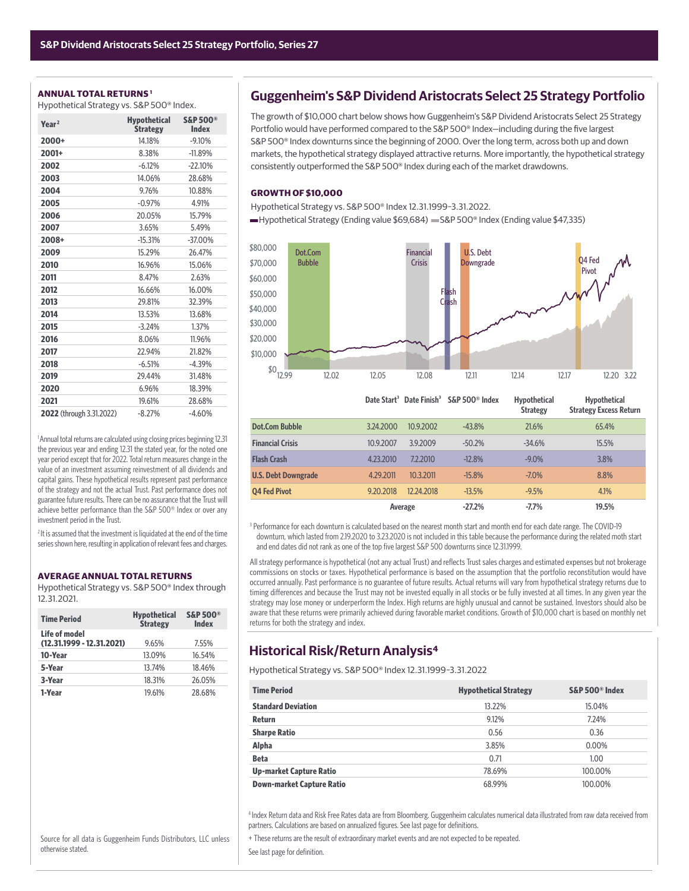#### **ANNUAL TOTAL RETURNS 1**

Hypothetical Strategy vs. S&P 500® Index.

| Year <sup>2</sup>        | <b>Hypothetical</b><br><b>Strategy</b> | <b>S&amp;P 500®</b><br><b>Index</b> |
|--------------------------|----------------------------------------|-------------------------------------|
| 2000+                    | 14.18%                                 | $-9.10%$                            |
| 2001+                    | 8.38%                                  | $-11.89%$                           |
| 2002                     | $-6.12%$                               | $-22.10%$                           |
| 2003                     | 14.06%                                 | 28.68%                              |
| 2004                     | 9.76%                                  | 10.88%                              |
| 2005                     | $-0.97%$                               | 4.91%                               |
| 2006                     | 20.05%                                 | 15.79%                              |
| 2007                     | 3.65%                                  | 5.49%                               |
| 2008+                    | $-15.31%$                              | $-37.00%$                           |
| 2009                     | 15.29%                                 | 26.47%                              |
| 2010                     | 16.96%                                 | 15.06%                              |
| 2011                     | 8.47%                                  | 2.63%                               |
| 2012                     | 16.66%                                 | 16.00%                              |
| 2013                     | 29.81%                                 | 32.39%                              |
| 2014                     | 13.53%                                 | 13.68%                              |
| 2015                     | $-3.24%$                               | 1.37%                               |
| 2016                     | 8.06%                                  | 11.96%                              |
| 2017                     | 22.94%                                 | 21.82%                              |
| 2018                     | $-6.51%$                               | $-4.39%$                            |
| 2019                     | 29.44%                                 | 31.48%                              |
| 2020                     | 6.96%                                  | 18.39%                              |
| 2021                     | 19.61%                                 | 28.68%                              |
| 2022 (through 3.31.2022) | $-8.27%$                               | $-4.60%$                            |

<sup>1</sup> Annual total returns are calculated using closing prices beginning 12.31 the previous year and ending 12.31 the stated year, for the noted one year period except that for 2022. Total return measures change in the value of an investment assuming reinvestment of all dividends and capital gains. These hypothetical results represent past performance of the strategy and not the actual Trust. Past performance does not guarantee future results. There can be no assurance that the Trust will achieve better performance than the S&P 500® Index or over any investment period in the Trust.

<sup>2</sup> It is assumed that the investment is liquidated at the end of the time series shown here, resulting in application of relevant fees and charges.

#### **AVERAGE ANNUAL TOTAL RETURNS**

Hypothetical Strategy vs. S&P 500® Index through 12.31.2021.

| <b>Time Period</b>                           | <b>Hypothetical</b><br><b>Strategy</b> | <b>S&amp;P 500®</b><br><b>Index</b> |
|----------------------------------------------|----------------------------------------|-------------------------------------|
| Life of model<br>$(12.31.1999 - 12.31.2021)$ | 9.65%                                  | 7.55%                               |
| 10-Year                                      | 13.09%                                 | 16.54%                              |
| 5-Year                                       | 13.74%                                 | 18.46%                              |
| 3-Year                                       | 18.31%                                 | 26.05%                              |
| 1-Year                                       | 19.61%                                 | 28.68%                              |

### **Guggenheim's S&P Dividend Aristocrats Select 25 Strategy Portfolio**

The growth of \$10,000 chart below shows how Guggenheim's S&P Dividend Aristocrats Select 25 Strategy Portfolio would have performed compared to the S&P 500® Index-including during the five largest S&P 500® Index downturns since the beginning of 2000. Over the long term, across both up and down markets, the hypothetical strategy displayed attractive returns. More importantly, the hypothetical strategy consistently outperformed the S&P 500® Index during each of the market drawdowns.

#### **GROWTH OF \$10,000**

Hypothetical Strategy vs. S&P 500® Index 12.31.1999–3.31.2022.

— Hypothetical Strategy (Ending value \$69,684) — S&P 500® Index (Ending value \$47,335)



|                            |           |            | Date Start <sup>3</sup> Date Finish <sup>3</sup> S&P 500 <sup>®</sup> Index | Hypothetical<br><b>Strategy</b> | <b>Hypothetical</b><br><b>Strategy Excess Return</b> |
|----------------------------|-----------|------------|-----------------------------------------------------------------------------|---------------------------------|------------------------------------------------------|
| <b>Dot.Com Bubble</b>      | 3.24.2000 | 10.9.2002  | $-43.8%$                                                                    | 21.6%                           | 65.4%                                                |
| <b>Financial Crisis</b>    | 10.9.2007 | 3.9.2009   | $-50.2%$                                                                    | $-34.6%$                        | 15.5%                                                |
| <b>Flash Crash</b>         | 4.23.2010 | 7.2.2010   | $-12.8%$                                                                    | $-9.0\%$                        | 3.8%                                                 |
| <b>U.S. Debt Downgrade</b> | 4.29.2011 | 10.3.2011  | $-15.8%$                                                                    | $-7.0\%$                        | 8.8%                                                 |
| <b>04 Fed Pivot</b>        | 9.20.2018 | 12.24.2018 | $-13.5%$                                                                    | $-9.5%$                         | 4.1%                                                 |
|                            |           | Average    | $-27.2%$                                                                    | $-7.7%$                         | 19.5%                                                |

3 Performance for each downturn is calculated based on the nearest month start and month end for each date range. The COVID-19 downturn, which lasted from 2.19.2020 to 3.23.2020 is not included in this table because the performance during the related moth start and end dates did not rank as one of the top five largest S&P 500 downturns since 12.31.1999.

All strategy performance is hypothetical (not any actual Trust) and reflects Trust sales charges and estimated expenses but not brokerage commissions on stocks or taxes. Hypothetical performance is based on the assumption that the portfolio reconstitution would have occurred annually. Past performance is no guarantee of future results. Actual returns will vary from hypothetical strategy returns due to timing differences and because the Trust may not be invested equally in all stocks or be fully invested at all times. In any given year the strategy may lose money or underperform the Index. High returns are highly unusual and cannot be sustained. Investors should also be aware that these returns were primarily achieved during favorable market conditions. Growth of \$10,000 chart is based on monthly net returns for both the strategy and index.

### **Historical Risk/Return Analysis4**

Hypothetical Strategy vs. S&P 500® Index 12.31.1999–3.31.2022

| <b>Time Period</b>               | <b>Hypothetical Strategy</b> | S&P 500 <sup>®</sup> Index |
|----------------------------------|------------------------------|----------------------------|
| <b>Standard Deviation</b>        | 13.22%                       | 15.04%                     |
| Return                           | 9.12%                        | 7.24%                      |
| <b>Sharpe Ratio</b>              | 0.56                         | 0.36                       |
| Alpha                            | 3.85%                        | 0.00%                      |
| <b>Beta</b>                      | 0.71                         | 1.00                       |
| <b>Up-market Capture Ratio</b>   | 78.69%                       | 100.00%                    |
| <b>Down-market Capture Ratio</b> | 68.99%                       | 100.00%                    |

4 Index Return data and Risk Free Rates data are from Bloomberg. Guggenheim calculates numerical data illustrated from raw data received from partners. Calculations are based on annualized figures. See last page for definitions.

+ These returns are the result of extraordinary market events and are not expected to be repeated.

Source for all data is Guggenheim Funds Distributors, LLC unless otherwise stated.

See last page for definition.